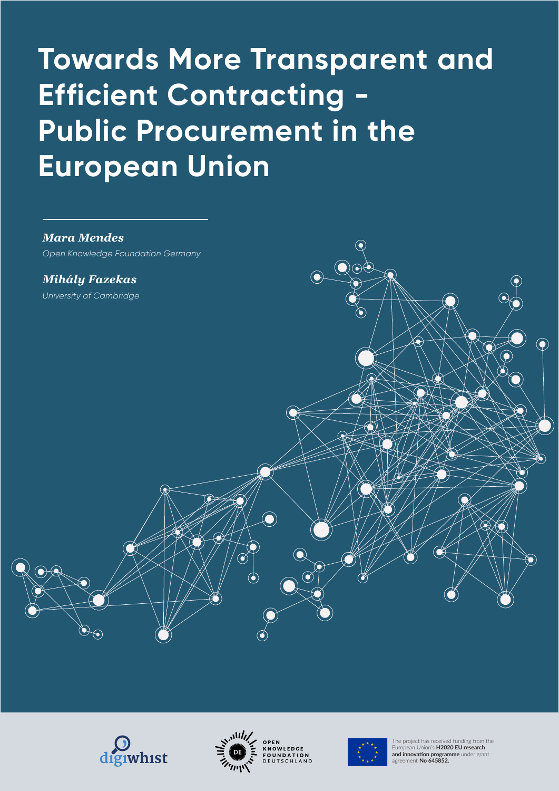# **Towards More Transparent and Efficient Contracting - Public Procurement in the European Union**









The project has received funding from the European Union's **H2020 EU research and innovation programme** under grant agreement **No 645852.**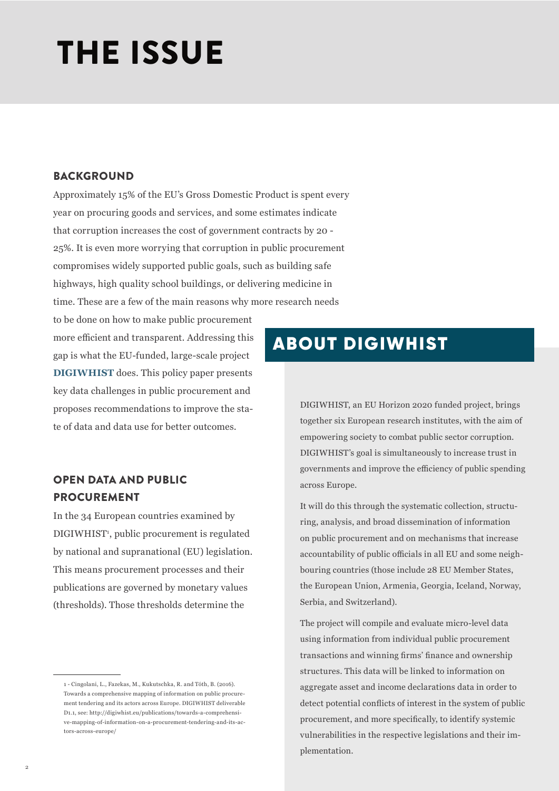# **THE ISSUE**

#### BACKGROUND

Approximately 15% of the EU's Gross Domestic Product is spent every year on procuring goods and services, and some estimates indicate that corruption increases the cost of government contracts by 20 - 25%. It is even more worrying that corruption in public procurement compromises widely supported public goals, such as building safe highways, high quality school buildings, or delivering medicine in time. These are a few of the main reasons why more research needs

to be done on how to make public procurement more efficient and transparent. Addressing this gap is what the EU-funded, large-scale project **DIGIWHIST** does. This policy paper presents key data challenges in public procurement and proposes recommendations to improve the state of data and data use for better outcomes.

### OPEN DATA AND PUBLIC PROCUREMENT

In the 34 European countries examined by DIGIWHIST<sup>1</sup>, public procurement is regulated by national and supranational (EU) legislation. This means procurement processes and their publications are governed by monetary values (thresholds). Those thresholds determine the

## ABOUT DIGIWHIST

DIGIWHIST, an EU Horizon 2020 funded project, brings together six European research institutes, with the aim of empowering society to combat public sector corruption. DIGIWHIST's goal is simultaneously to increase trust in governments and improve the efficiency of public spending across Europe.

It will do this through the systematic collection, structuring, analysis, and broad dissemination of information on public procurement and on mechanisms that increase accountability of public officials in all EU and some neighbouring countries (those include 28 EU Member States, the European Union, Armenia, Georgia, Iceland, Norway, Serbia, and Switzerland).

The project will compile and evaluate micro-level data using information from individual public procurement transactions and winning firms' finance and ownership structures. This data will be linked to information on aggregate asset and income declarations data in order to detect potential conflicts of interest in the system of public procurement, and more specifically, to identify systemic vulnerabilities in the respective legislations and their implementation.

<sup>1 -</sup> Cingolani, L., Fazekas, M., Kukutschka, R. and Tóth, B. (2016). Towards a comprehensive mapping of information on public procurement tendering and its actors across Europe. DIGIWHIST deliverable D1.1, see: http://digiwhist.eu/publications/towards-a-comprehensive-mapping-of-information-on-a-procurement-tendering-and-its-actors-across-europe/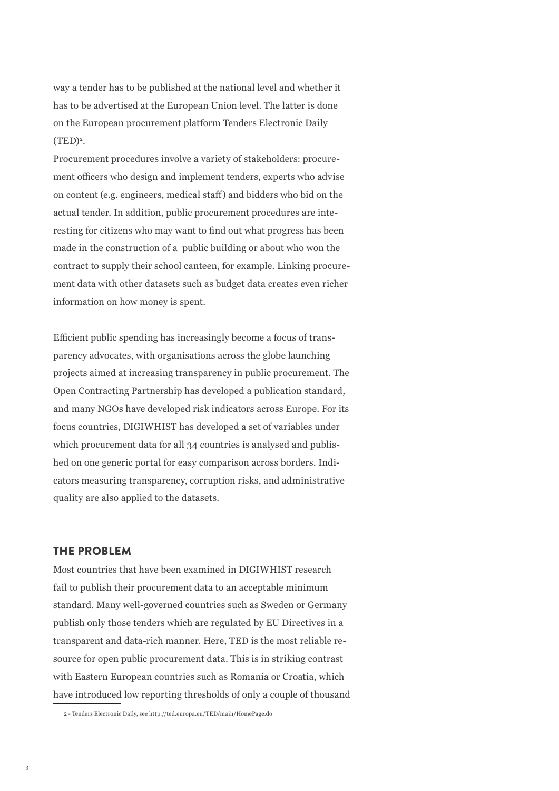way a tender has to be published at the national level and whether it has to be advertised at the European Union level. The latter is done on the European procurement platform Tenders Electronic Daily  $(TED)<sup>2</sup>$ .

Procurement procedures involve a variety of stakeholders: procurement officers who design and implement tenders, experts who advise on content (e.g. engineers, medical staff) and bidders who bid on the actual tender. In addition, public procurement procedures are interesting for citizens who may want to find out what progress has been made in the construction of a public building or about who won the contract to supply their school canteen, for example. Linking procurement data with other datasets such as budget data creates even richer information on how money is spent.

Efficient public spending has increasingly become a focus of transparency advocates, with organisations across the globe launching projects aimed at increasing transparency in public procurement. The Open Contracting Partnership has developed a publication standard, and many NGOs have developed risk indicators across Europe. For its focus countries, DIGIWHIST has developed a set of variables under which procurement data for all 34 countries is analysed and published on one generic portal for easy comparison across borders. Indicators measuring transparency, corruption risks, and administrative quality are also applied to the datasets.

#### THE PROBLEM

Most countries that have been examined in DIGIWHIST research fail to publish their procurement data to an acceptable minimum standard. Many well-governed countries such as Sweden or Germany publish only those tenders which are regulated by EU Directives in a transparent and data-rich manner. Here, TED is the most reliable resource for open public procurement data. This is in striking contrast with Eastern European countries such as Romania or Croatia, which have introduced low reporting thresholds of only a couple of thousand

<sup>2 -</sup> Tenders Electronic Daily, see http://ted.europa.eu/TED/main/HomePage.do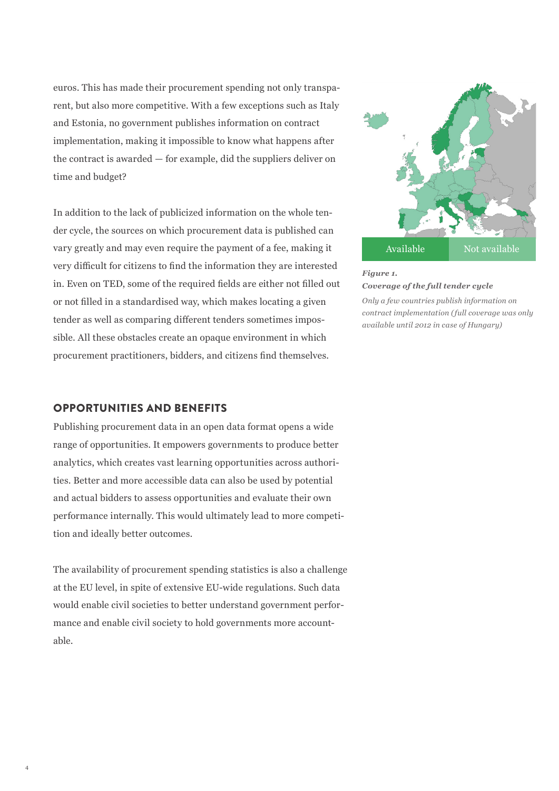euros. This has made their procurement spending not only transparent, but also more competitive. With a few exceptions such as Italy and Estonia, no government publishes information on contract implementation, making it impossible to know what happens after the contract is awarded — for example, did the suppliers deliver on time and budget?

In addition to the lack of publicized information on the whole tender cycle, the sources on which procurement data is published can vary greatly and may even require the payment of a fee, making it very difficult for citizens to find the information they are interested in. Even on TED, some of the required fields are either not filled out or not filled in a standardised way, which makes locating a given tender as well as comparing different tenders sometimes impossible. All these obstacles create an opaque environment in which procurement practitioners, bidders, and citizens find themselves.

#### OPPORTUNITIES AND BENEFITS

Publishing procurement data in an open data format opens a wide range of opportunities. It empowers governments to produce better analytics, which creates vast learning opportunities across authorities. Better and more accessible data can also be used by potential and actual bidders to assess opportunities and evaluate their own performance internally. This would ultimately lead to more competition and ideally better outcomes.

The availability of procurement spending statistics is also a challenge at the EU level, in spite of extensive EU-wide regulations. Such data would enable civil societies to better understand government performance and enable civil society to hold governments more accountable.





*Only a few countries publish information on contract implementation (full coverage was only available until 2012 in case of Hungary)*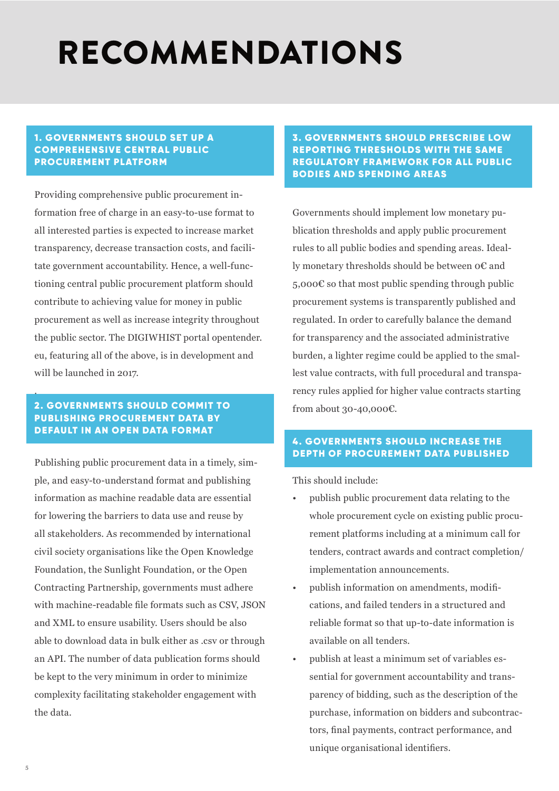## **RECOMMENDATIONS** RECOMMENDATIONS

#### 1. GOVERNMENTS SHOULD SET UP A COMPREHENSIVE CENTRAL PUBLIC PROCUREMENT PLATFORM

Providing comprehensive public procurement information free of charge in an easy-to-use format to all interested parties is expected to increase market transparency, decrease transaction costs, and facilitate government accountability. Hence, a well-functioning central public procurement platform should contribute to achieving value for money in public procurement as well as increase integrity throughout the public sector. The DIGIWHIST portal opentender. eu, featuring all of the above, is in development and will be launched in 2017.

#### 2. GOVERNMENTS SHOULD COMMIT TO PUBLISHING PROCUREMENT DATA BY DEFAULT IN AN OPEN DATA FORMAT

Publishing public procurement data in a timely, simple, and easy-to-understand format and publishing information as machine readable data are essential for lowering the barriers to data use and reuse by all stakeholders. As recommended by international civil society organisations like the Open Knowledge Foundation, the Sunlight Foundation, or the Open Contracting Partnership, governments must adhere with machine-readable file formats such as CSV, JSON and XML to ensure usability. Users should be also able to download data in bulk either as .csv or through an API. The number of data publication forms should be kept to the very minimum in order to minimize complexity facilitating stakeholder engagement with the data.

#### 3. GOVERNMENTS SHOULD PRESCRIBE LOW REPORTING THRESHOLDS WITH THE SAME REGULATORY FRAMEWORK FOR ALL PUBLIC BODIES AND SPENDING AREAS

Governments should implement low monetary publication thresholds and apply public procurement rules to all public bodies and spending areas. Ideally monetary thresholds should be between 0€ and  $5,000 \in \mathcal{S}$  so that most public spending through public procurement systems is transparently published and regulated. In order to carefully balance the demand for transparency and the associated administrative burden, a lighter regime could be applied to the smallest value contracts, with full procedural and transparency rules applied for higher value contracts starting from about 30-40,000€.

#### 4. GOVERNMENTS SHOULD INCREASE THE DEPTH OF PROCUREMENT DATA PUBLISHED

This should include:

- publish public procurement data relating to the whole procurement cycle on existing public procurement platforms including at a minimum call for tenders, contract awards and contract completion/ implementation announcements.
- publish information on amendments, modifications, and failed tenders in a structured and reliable format so that up-to-date information is available on all tenders.
- publish at least a minimum set of variables essential for government accountability and transparency of bidding, such as the description of the purchase, information on bidders and subcontractors, final payments, contract performance, and unique organisational identifiers.

.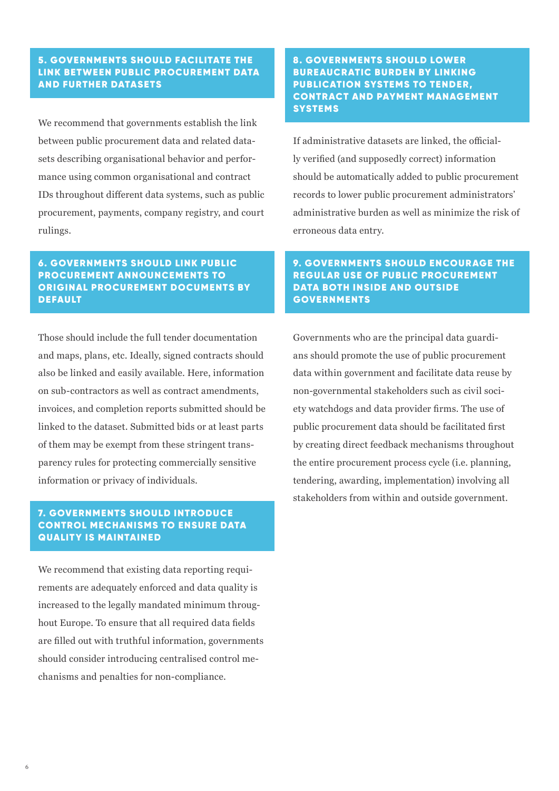#### 5. GOVERNMENTS SHOULD FACILITATE THE LINK BETWEEN PUBLIC PROCUREMENT DATA AND FURTHER DATASETS

We recommend that governments establish the link between public procurement data and related datasets describing organisational behavior and performance using common organisational and contract IDs throughout different data systems, such as public procurement, payments, company registry, and court rulings.

#### 6. GOVERNMENTS SHOULD LINK PUBLIC PROCUREMENT ANNOUNCEMENTS TO ORIGINAL PROCUREMENT DOCUMENTS BY DEFAULT

Those should include the full tender documentation and maps, plans, etc. Ideally, signed contracts should also be linked and easily available. Here, information on sub-contractors as well as contract amendments, invoices, and completion reports submitted should be linked to the dataset. Submitted bids or at least parts of them may be exempt from these stringent transparency rules for protecting commercially sensitive information or privacy of individuals.

#### 7. GOVERNMENTS SHOULD INTRODUCE CONTROL MECHANISMS TO ENSURE DATA QUALITY IS MAINTAINED

We recommend that existing data reporting requirements are adequately enforced and data quality is increased to the legally mandated minimum throughout Europe. To ensure that all required data fields are filled out with truthful information, governments should consider introducing centralised control mechanisms and penalties for non-compliance.

#### 8. GOVERNMENTS SHOULD LOWER BUREAUCRATIC BURDEN BY LINKING PUBLICATION SYSTEMS TO TENDER, CONTRACT AND PAYMENT MANAGEMENT **SYSTEMS**

If administrative datasets are linked, the officially verified (and supposedly correct) information should be automatically added to public procurement records to lower public procurement administrators' administrative burden as well as minimize the risk of erroneous data entry.

#### 9. GOVERNMENTS SHOULD ENCOURAGE THE REGULAR USE OF PUBLIC PROCUREMENT DATA BOTH INSIDE AND OUTSIDE GOVERNMENTS

Governments who are the principal data guardians should promote the use of public procurement data within government and facilitate data reuse by non-governmental stakeholders such as civil society watchdogs and data provider firms. The use of public procurement data should be facilitated first by creating direct feedback mechanisms throughout the entire procurement process cycle (i.e. planning, tendering, awarding, implementation) involving all stakeholders from within and outside government.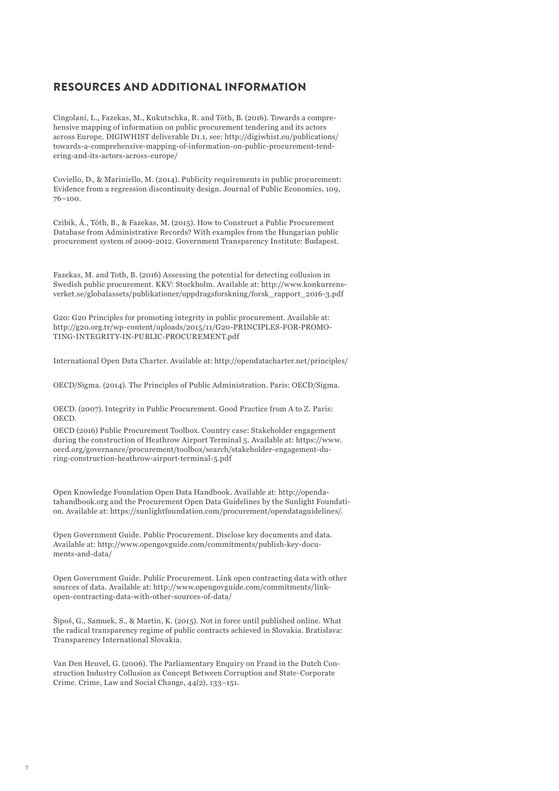#### RESOURCES AND ADDITIONAL INFORMATION

Cingolani, L., Fazekas, M., Kukutschka, R. and Tóth, B. (2016). Towards a comprehensive mapping of information on public procurement tendering and its actors across Europe. DIGIWHIST deliverable D1.1, see: http://digiwhist.eu/publications/ towards-a-comprehensive-mapping-of-information-on-public-procurement-tendering-and-its-actors-across-europe/

Coviello, D., & Mariniello, M. (2014). Publicity requirements in public procurement: Evidence from a regression discontinuity design. Journal of Public Economics, 109, 76–100.

Czibik, Á., Tóth, B., & Fazekas, M. (2015). How to Construct a Public Procurement Database from Administrative Records? With examples from the Hungarian public procurement system of 2009-2012. Government Transparency Institute: Budapest.

Fazekas, M. and Toth, B. (2016) Assessing the potential for detecting collusion in Swedish public procurement. KKV: Stockholm. Available at: http://www.konkurrensverket.se/globalassets/publikationer/uppdragsforskning/forsk\_rapport\_2016-3.pdf

G20: G20 Principles for promoting integrity in public procurement. Available at: http://g20.org.tr/wp-content/uploads/2015/11/G20-PRINCIPLES-FOR-PROMO-TING-INTEGRITY-IN-PUBLIC-PROCUREMENT.pdf

International Open Data Charter. Available at: http://opendatacharter.net/principles/

OECD/Sigma. (2014). The Principles of Public Administration. Paris: OECD/Sigma.

OECD. (2007). Integrity in Public Procurement. Good Practice from A to Z. Paris: OECD.

OECD (2016) Public Procurement Toolbox. Country case: Stakeholder engagement during the construction of Heathrow Airport Terminal 5. Available at: https://www. oecd.org/governance/procurement/toolbox/search/stakeholder-engagement-during-construction-heathrow-airport-terminal-5.pdf

Open Knowledge Foundation Open Data Handbook. Available at: http://opendatahandbook.org and the Procurement Open Data Guidelines by the Sunlight Foundation. Available at: https://sunlightfoundation.com/procurement/opendataguidelines/.

Open Government Guide. Public Procurement. Disclose key documents and data. Available at: http://www.opengovguide.com/commitments/publish-key-documents-and-data/

Open Government Guide. Public Procurement. Link open contracting data with other sources of data. Available at: http://www.opengovguide.com/commitments/linkopen-contracting-data-with-other-sources-of-data/

Šípoš, G., Samuek, S., & Martin, K. (2015). Not in force until published online. What the radical transparency regime of public contracts achieved in Slovakia. Bratislava: Transparency International Slovakia.

Van Den Heuvel, G. (2006). The Parliamentary Enquiry on Fraud in the Dutch Construction Industry Collusion as Concept Between Corruption and State-Corporate Crime. Crime, Law and Social Change, 44(2), 133–151.